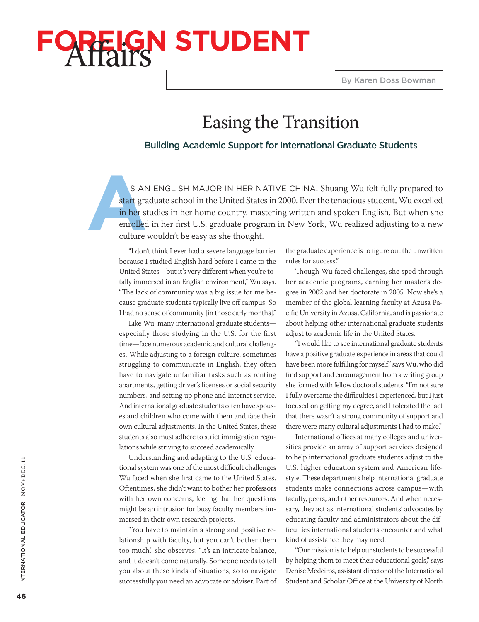# **GN STUDENT**

## Easing the Transition

#### Building Academic Support for International Graduate Students

S AM<br>
start gra<br>
in her st<br>
enrolled<br>
culture s an English major in her native China, Shuang Wu felt fully prepared to start graduate school in the United States in 2000. Ever the tenacious student, Wu excelled in her studies in her home country, mastering written and spoken English. But when she enrolled in her first U.S. graduate program in New York, Wu realized adjusting to a new culture wouldn't be easy as she thought.

"I don't think I ever had a severe language barrier because I studied English hard before I came to the United States—but it's very different when you're totally immersed in an English environment," Wu says. "The lack of community was a big issue for me because graduate students typically live off campus. So I had no sense of community [in those early months]."

Like Wu, many international graduate students especially those studying in the U.S. for the first time—face numerous academic and cultural challenges. While adjusting to a foreign culture, sometimes struggling to communicate in English, they often have to navigate unfamiliar tasks such as renting apartments, getting driver's licenses or social security numbers, and setting up phone and Internet service. And international graduate students often have spouses and children who come with them and face their own cultural adjustments. In the United States, these students also must adhere to strict immigration regulations while striving to succeed academically.

Understanding and adapting to the U.S. educational system was one of the most difficult challenges Wu faced when she first came to the United States. Oftentimes, she didn't want to bother her professors with her own concerns, feeling that her questions might be an intrusion for busy faculty members immersed in their own research projects.

"You have to maintain a strong and positive relationship with faculty, but you can't bother them too much," she observes. "It's an intricate balance, and it doesn't come naturally. Someone needs to tell you about these kinds of situations, so to navigate successfully you need an advocate or adviser. Part of the graduate experience is to figure out the unwritten rules for success."

Though Wu faced challenges, she sped through her academic programs, earning her master's degree in 2002 and her doctorate in 2005. Now she's a member of the global learning faculty at Azusa Pacific University in Azusa, California, and is passionate about helping other international graduate students adjust to academic life in the United States.

"I would like to see international graduate students have a positive graduate experience in areas that could have been more fulfilling for myself," says Wu, who did find support and encouragement from a writing group she formed with fellow doctoral students. "I'm not sure I fully overcame the difficulties I experienced, but I just focused on getting my degree, and I tolerated the fact that there wasn't a strong community of support and there were many cultural adjustments I had to make."

International offices at many colleges and universities provide an array of support services designed to help international graduate students adjust to the U.S. higher education system and American lifestyle. These departments help international graduate students make connections across campus—with faculty, peers, and other resources. And when necessary, they act as international students' advocates by educating faculty and administrators about the difficulties international students encounter and what kind of assistance they may need.

"Our mission is to help our students to be successful by helping them to meet their educational goals," says Denise Medeiros, assistant director of the International Student and Scholar Office at the University of North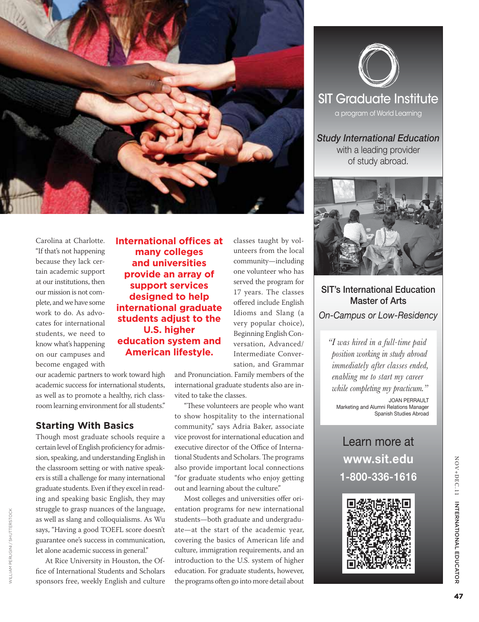

Carolina at Charlotte. "If that's not happening because they lack certain academic support at our institutions, then our mission is not complete, and we have some work to do. As advocates for international students, we need to know what's happening on our campuses and become engaged with

our academic partners to work toward high academic success for international students, as well as to promote a healthy, rich classroom learning environment for all students."

#### **Starting With Basics**

Though most graduate schools require a certain level of English proficiency for admission, speaking, and understanding English in the classroom setting or with native speakers is still a challenge for many international graduate students. Even if they excel in reading and speaking basic English, they may struggle to grasp nuances of the language, as well as slang and colloquialisms. As Wu says, "Having a good TOEFL score doesn't guarantee one's success in communication, let alone academic success in general."

At Rice University in Houston, the Office of International Students and Scholars sponsors free, weekly English and culture

William Perugini / shutterstock

**VILLIAM PERUGINI / SHUTTERSTOCH** 

**International offices at many colleges and universities provide an array of support services designed to help international graduate students adjust to the U.S. higher education system and American lifestyle.**

classes taught by volunteers from the local community—including one volunteer who has served the program for 17 years. The classes offered include English Idioms and Slang (a very popular choice), Beginning English Conversation, Advanced/ Intermediate Conversation, and Grammar

and Pronunciation. Family members of the international graduate students also are invited to take the classes.

"These volunteers are people who want to show hospitality to the international community," says Adria Baker, associate vice provost for international education and executive director of the Office of International Students and Scholars. The programs also provide important local connections "for graduate students who enjoy getting out and learning about the culture."

Most colleges and universities offer orientation programs for new international students—both graduate and undergraduate—at the start of the academic year, covering the basics of American life and culture, immigration requirements, and an introduction to the U.S. system of higher education. For graduate students, however, the programs often go into more detail about



*Study International Education*  with a leading provider of study abroad.



SIT's International Education Master of Arts *On-Campus or Low-Residency* 

*"I was hired in a full-time paid position working in study abroad immediately after classes ended, enabling me to start my career while completing my practicum."* JOAN PERRAULT

Marketing and Alumni Relations Manager Spanish Studies Abroad

### Learn more at **www.sit.edu 1-800-336-1616**

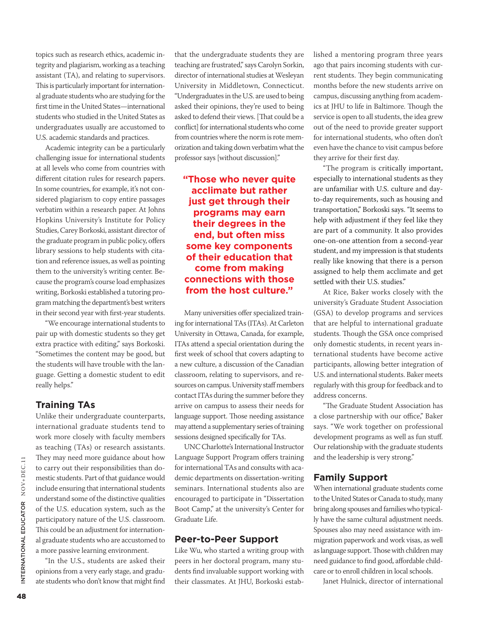topics such as research ethics, academic integrity and plagiarism, working as a teaching assistant (TA), and relating to supervisors. This is particularly important for international graduate students who are studying for the first time in the United States—international students who studied in the United States as undergraduates usually are accustomed to U.S. academic standards and practices.

Academic integrity can be a particularly challenging issue for international students at all levels who come from countries with different citation rules for research papers. In some countries, for example, it's not considered plagiarism to copy entire passages verbatim within a research paper. At Johns Hopkins University's Institute for Policy Studies, Carey Borkoski, assistant director of the graduate program in public policy, offers library sessions to help students with citation and reference issues, as well as pointing them to the university's writing center. Because the program's course load emphasizes writing, Borkoski established a tutoring program matching the department's best writers in their second year with first-year students.

"We encourage international students to pair up with domestic students so they get extra practice with editing," says Borkoski. "Sometimes the content may be good, but the students will have trouble with the language. Getting a domestic student to edit really helps."

#### **Training TAs**

Unlike their undergraduate counterparts, international graduate students tend to work more closely with faculty members as teaching (TAs) or research assistants. They may need more guidance about how to carry out their responsibilities than domestic students. Part of that guidance would include ensuring that international students understand some of the distinctive qualities of the U.S. education system, such as the participatory nature of the U.S. classroom. This could be an adjustment for international graduate students who are accustomed to a more passive learning environment.

"In the U.S., students are asked their opinions from a very early stage, and graduate students who don't know that might find

that the undergraduate students they are teaching are frustrated," says Carolyn Sorkin, director of international studies at Wesleyan University in Middletown, Connecticut. "Undergraduates in the U.S. are used to being asked their opinions, they're used to being asked to defend their views. [That could be a conflict] for international students who come from countries where the norm is rote memorization and taking down verbatim what the professor says [without discussion]."

#### **"Those who never quite acclimate but rather just get through their programs may earn their degrees in the end, but often miss some key components of their education that come from making connections with those from the host culture."**

Many universities offer specialized training for international TAs (ITAs). At Carleton University in Ottawa, Canada, for example, ITAs attend a special orientation during the first week of school that covers adapting to a new culture, a discussion of the Canadian classroom, relating to supervisors, and resources on campus. University staff members contact ITAs during the summer before they arrive on campus to assess their needs for language support. Those needing assistance may attend a supplementary series of training sessions designed specifically for TAs.

UNC Charlotte's International Instructor Language Support Program offers training for international TAs and consults with academic departments on dissertation-writing seminars. International students also are encouraged to participate in "Dissertation Boot Camp," at the university's Center for Graduate Life.

#### **Peer-to-Peer Support**

Like Wu, who started a writing group with peers in her doctoral program, many students find invaluable support working with their classmates. At JHU, Borkoski established a mentoring program three years ago that pairs incoming students with current students. They begin communicating months before the new students arrive on campus, discussing anything from academics at JHU to life in Baltimore. Though the service is open to all students, the idea grew out of the need to provide greater support for international students, who often don't even have the chance to visit campus before they arrive for their first day.

"The program is critically important, especially to international students as they are unfamiliar with U.S. culture and dayto-day requirements, such as housing and transportation," Borkoski says. "It seems to help with adjustment if they feel like they are part of a community. It also provides one-on-one attention from a second-year student, and my impression is that students really like knowing that there is a person assigned to help them acclimate and get settled with their U.S. studies."

At Rice, Baker works closely with the university's Graduate Student Association (GSA) to develop programs and services that are helpful to international graduate students. Though the GSA once comprised only domestic students, in recent years international students have become active participants, allowing better integration of U.S. and international students. Baker meets regularly with this group for feedback and to address concerns.

"The Graduate Student Association has a close partnership with our office," Baker says. "We work together on professional development programs as well as fun stuff. Our relationship with the graduate students and the leadership is very strong."

#### **Family Support**

When international graduate students come to the United States or Canada to study, many bring along spouses and families who typically have the same cultural adjustment needs. Spouses also may need assistance with immigration paperwork and work visas, as well as language support. Those with children may need guidance to find good, affordable childcare or to enroll children in local schools.

Janet Hulnick, director of international